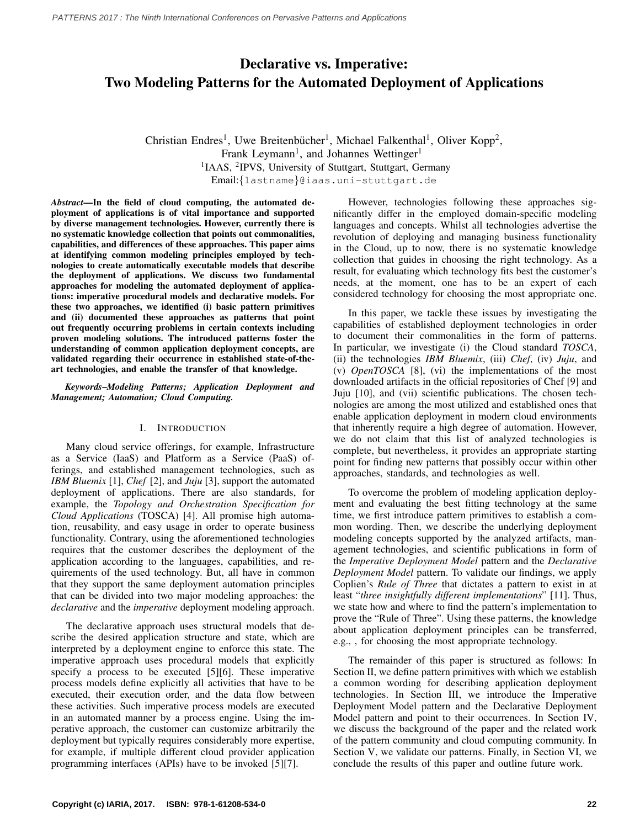# Declarative vs. Imperative: Two Modeling Patterns for the Automated Deployment of Applications

Christian Endres<sup>1</sup>, Uwe Breitenbücher<sup>1</sup>, Michael Falkenthal<sup>1</sup>, Oliver Kopp<sup>2</sup>, Frank Leymann<sup>1</sup>, and Johannes Wettinger<sup>1</sup> <sup>1</sup>IAAS, <sup>2</sup>IPVS, University of Stuttgart, Stuttgart, Germany Email:{lastname}@iaas.uni-stuttgart.de

*Abstract*—In the field of cloud computing, the automated deployment of applications is of vital importance and supported by diverse management technologies. However, currently there is no systematic knowledge collection that points out commonalities, capabilities, and differences of these approaches. This paper aims at identifying common modeling principles employed by technologies to create automatically executable models that describe the deployment of applications. We discuss two fundamental approaches for modeling the automated deployment of applications: imperative procedural models and declarative models. For these two approaches, we identified (i) basic pattern primitives and (ii) documented these approaches as patterns that point out frequently occurring problems in certain contexts including proven modeling solutions. The introduced patterns foster the understanding of common application deployment concepts, are validated regarding their occurrence in established state-of-theart technologies, and enable the transfer of that knowledge.

*Keywords*–*Modeling Patterns; Application Deployment and Management; Automation; Cloud Computing.*

## I. INTRODUCTION

Many cloud service offerings, for example, Infrastructure as a Service (IaaS) and Platform as a Service (PaaS) offerings, and established management technologies, such as *IBM Bluemix* [\[1\]](#page-5-0), *Chef* [\[2\]](#page-5-1), and *Juju* [\[3\]](#page-5-2), support the automated deployment of applications. There are also standards, for example, the *Topology and Orchestration Specification for Cloud Applications* (TOSCA) [\[4\]](#page-5-3). All promise high automation, reusability, and easy usage in order to operate business functionality. Contrary, using the aforementioned technologies requires that the customer describes the deployment of the application according to the languages, capabilities, and requirements of the used technology. But, all have in common that they support the same deployment automation principles that can be divided into two major modeling approaches: the *declarative* and the *imperative* deployment modeling approach.

The declarative approach uses structural models that describe the desired application structure and state, which are interpreted by a deployment engine to enforce this state. The imperative approach uses procedural models that explicitly specify a process to be executed [\[5\]](#page-5-4)[\[6\]](#page-5-5). These imperative process models define explicitly all activities that have to be executed, their execution order, and the data flow between these activities. Such imperative process models are executed in an automated manner by a process engine. Using the imperative approach, the customer can customize arbitrarily the deployment but typically requires considerably more expertise, for example, if multiple different cloud provider application programming interfaces (APIs) have to be invoked [\[5\]](#page-5-4)[\[7\]](#page-5-6).

However, technologies following these approaches significantly differ in the employed domain-specific modeling languages and concepts. Whilst all technologies advertise the revolution of deploying and managing business functionality in the Cloud, up to now, there is no systematic knowledge collection that guides in choosing the right technology. As a result, for evaluating which technology fits best the customer's needs, at the moment, one has to be an expert of each considered technology for choosing the most appropriate one.

In this paper, we tackle these issues by investigating the capabilities of established deployment technologies in order to document their commonalities in the form of patterns. In particular, we investigate (i) the Cloud standard *TOSCA*, (ii) the technologies *IBM Bluemix*, (iii) *Chef*, (iv) *Juju*, and (v) *OpenTOSCA* [\[8\]](#page-5-7), (vi) the implementations of the most downloaded artifacts in the official repositories of Chef [\[9\]](#page-5-8) and Juju [\[10\]](#page-5-9), and (vii) scientific publications. The chosen technologies are among the most utilized and established ones that enable application deployment in modern cloud environments that inherently require a high degree of automation. However, we do not claim that this list of analyzed technologies is complete, but nevertheless, it provides an appropriate starting point for finding new patterns that possibly occur within other approaches, standards, and technologies as well.

To overcome the problem of modeling application deployment and evaluating the best fitting technology at the same time, we first introduce pattern primitives to establish a common wording. Then, we describe the underlying deployment modeling concepts supported by the analyzed artifacts, management technologies, and scientific publications in form of the *Imperative Deployment Model* pattern and the *Declarative Deployment Model* pattern. To validate our findings, we apply Coplien's *Rule of Three* that dictates a pattern to exist in at least "*three insightfully different implementations*" [\[11\]](#page-5-10). Thus, we state how and where to find the pattern's implementation to prove the "Rule of Three". Using these patterns, the knowledge about application deployment principles can be transferred, e.g., , for choosing the most appropriate technology.

The remainder of this paper is structured as follows: In [Section II,](#page-1-0) we define pattern primitives with which we establish a common wording for describing application deployment technologies. In [Section III,](#page-1-1) we introduce the Imperative Deployment Model pattern and the Declarative Deployment Model pattern and point to their occurrences. In [Section IV,](#page-4-0) we discuss the background of the paper and the related work of the pattern community and cloud computing community. In [Section V,](#page-4-1) we validate our patterns. Finally, in [Section VI,](#page-4-2) we conclude the results of this paper and outline future work.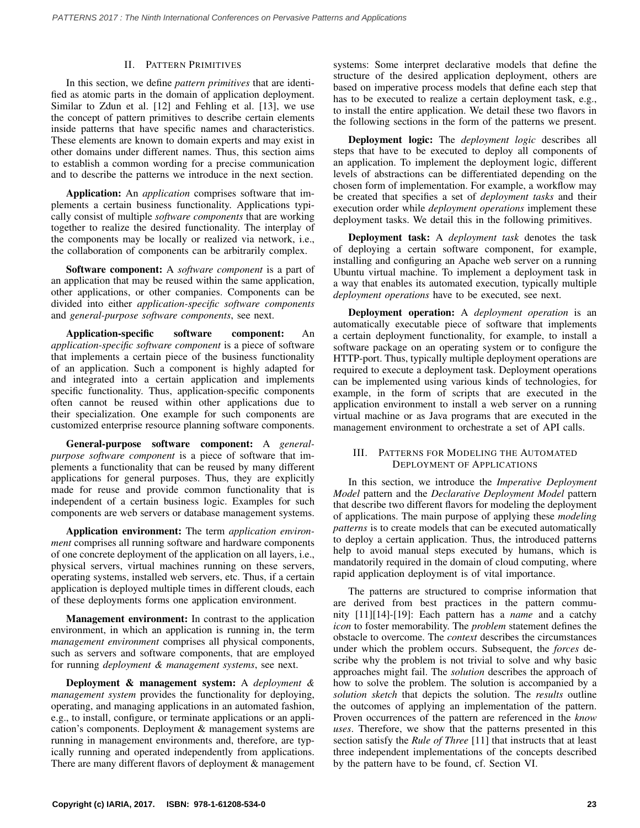## II. PATTERN PRIMITIVES

<span id="page-1-0"></span>In this section, we define *pattern primitives* that are identified as atomic parts in the domain of application deployment. Similar to Zdun et al. [\[12\]](#page-5-11) and Fehling et al. [\[13\]](#page-5-12), we use the concept of pattern primitives to describe certain elements inside patterns that have specific names and characteristics. These elements are known to domain experts and may exist in other domains under different names. Thus, this section aims to establish a common wording for a precise communication and to describe the patterns we introduce in the next section.

Application: An *application* comprises software that implements a certain business functionality. Applications typically consist of multiple *software components* that are working together to realize the desired functionality. The interplay of the components may be locally or realized via network, i.e., the collaboration of components can be arbitrarily complex.

Software component: A *software component* is a part of an application that may be reused within the same application, other applications, or other companies. Components can be divided into either *application-specific software components* and *general-purpose software components*, see next.

Application-specific software component: An *application-specific software component* is a piece of software that implements a certain piece of the business functionality of an application. Such a component is highly adapted for and integrated into a certain application and implements specific functionality. Thus, application-specific components often cannot be reused within other applications due to their specialization. One example for such components are customized enterprise resource planning software components.

General-purpose software component: A *generalpurpose software component* is a piece of software that implements a functionality that can be reused by many different applications for general purposes. Thus, they are explicitly made for reuse and provide common functionality that is independent of a certain business logic. Examples for such components are web servers or database management systems.

Application environment: The term *application environment* comprises all running software and hardware components of one concrete deployment of the application on all layers, i.e., physical servers, virtual machines running on these servers, operating systems, installed web servers, etc. Thus, if a certain application is deployed multiple times in different clouds, each of these deployments forms one application environment.

Management environment: In contrast to the application environment, in which an application is running in, the term *management environment* comprises all physical components, such as servers and software components, that are employed for running *deployment & management systems*, see next.

Deployment & management system: A *deployment & management system* provides the functionality for deploying, operating, and managing applications in an automated fashion, e.g., to install, configure, or terminate applications or an application's components. Deployment & management systems are running in management environments and, therefore, are typically running and operated independently from applications. There are many different flavors of deployment & management systems: Some interpret declarative models that define the structure of the desired application deployment, others are based on imperative process models that define each step that has to be executed to realize a certain deployment task, e.g., to install the entire application. We detail these two flavors in the following sections in the form of the patterns we present.

Deployment logic: The *deployment logic* describes all steps that have to be executed to deploy all components of an application. To implement the deployment logic, different levels of abstractions can be differentiated depending on the chosen form of implementation. For example, a workflow may be created that specifies a set of *deployment tasks* and their execution order while *deployment operations* implement these deployment tasks. We detail this in the following primitives.

Deployment task: A *deployment task* denotes the task of deploying a certain software component, for example, installing and configuring an Apache web server on a running Ubuntu virtual machine. To implement a deployment task in a way that enables its automated execution, typically multiple *deployment operations* have to be executed, see next.

Deployment operation: A *deployment operation* is an automatically executable piece of software that implements a certain deployment functionality, for example, to install a software package on an operating system or to configure the HTTP-port. Thus, typically multiple deployment operations are required to execute a deployment task. Deployment operations can be implemented using various kinds of technologies, for example, in the form of scripts that are executed in the application environment to install a web server on a running virtual machine or as Java programs that are executed in the management environment to orchestrate a set of API calls.

## <span id="page-1-1"></span>III. PATTERNS FOR MODELING THE AUTOMATED DEPLOYMENT OF APPLICATIONS

In this section, we introduce the *Imperative Deployment Model* pattern and the *Declarative Deployment Model* pattern that describe two different flavors for modeling the deployment of applications. The main purpose of applying these *modeling patterns* is to create models that can be executed automatically to deploy a certain application. Thus, the introduced patterns help to avoid manual steps executed by humans, which is mandatorily required in the domain of cloud computing, where rapid application deployment is of vital importance.

The patterns are structured to comprise information that are derived from best practices in the pattern community [\[11\]](#page-5-10)[\[14\]](#page-5-13)-[\[19\]](#page-5-14): Each pattern has a *name* and a catchy *icon* to foster memorability. The *problem* statement defines the obstacle to overcome. The *context* describes the circumstances under which the problem occurs. Subsequent, the *forces* describe why the problem is not trivial to solve and why basic approaches might fail. The *solution* describes the approach of how to solve the problem. The solution is accompanied by a *solution sketch* that depicts the solution. The *results* outline the outcomes of applying an implementation of the pattern. Proven occurrences of the pattern are referenced in the *know uses*. Therefore, we show that the patterns presented in this section satisfy the *Rule of Three* [\[11\]](#page-5-10) that instructs that at least three independent implementations of the concepts described by the pattern have to be found, cf. [Section VI.](#page-4-2)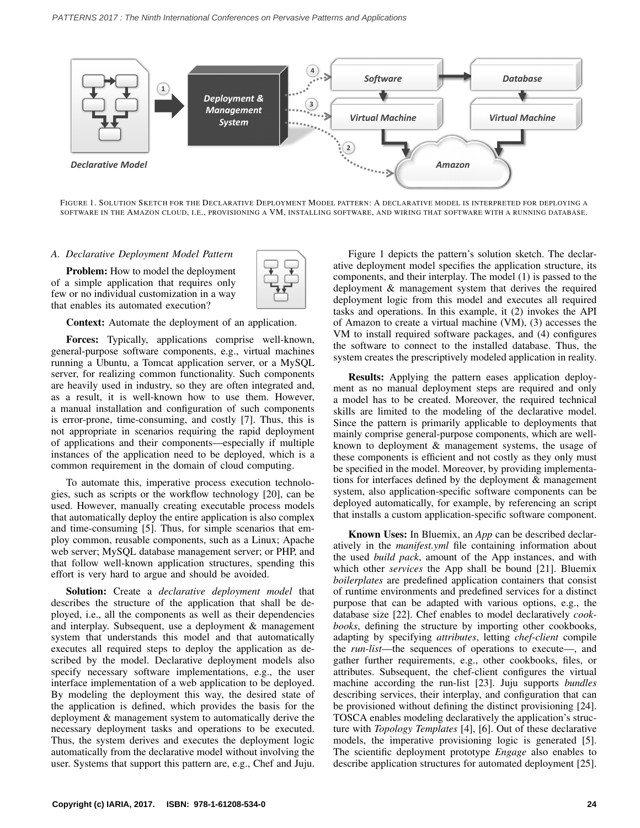<span id="page-2-0"></span>

FIGURE 1. SOLUTION SKETCH FOR THE DECLARATIVE DEPLOYMENT MODEL PATTERN: A DECLARATIVE MODEL IS INTERPRETED FOR DEPLOYING A SOFTWARE IN THE AMAZON CLOUD, I.E., PROVISIONING A VM, INSTALLING SOFTWARE, AND WIRING THAT SOFTWARE WITH A RUNNING DATABASE.

### *A. Declarative Deployment Model Pattern*

Problem: How to model the deployment of a simple application that requires only few or no individual customization in a way that enables its automated execution?



Context: Automate the deployment of an application.

Forces: Typically, applications comprise well-known, general-purpose software components, e.g., virtual machines running a Ubuntu, a Tomcat application server, or a MySQL server, for realizing common functionality. Such components are heavily used in industry, so they are often integrated and, as a result, it is well-known how to use them. However, a manual installation and configuration of such components is error-prone, time-consuming, and costly [\[7\]](#page-5-6). Thus, this is not appropriate in scenarios requiring the rapid deployment of applications and their components—especially if multiple instances of the application need to be deployed, which is a common requirement in the domain of cloud computing.

To automate this, imperative process execution technologies, such as scripts or the workflow technology [\[20\]](#page-5-15), can be used. However, manually creating executable process models that automatically deploy the entire application is also complex and time-consuming [\[5\]](#page-5-4). Thus, for simple scenarios that employ common, reusable components, such as a Linux; Apache web server; MySQL database management server; or PHP, and that follow well-known application structures, spending this effort is very hard to argue and should be avoided.

Solution: Create a *declarative deployment model* that describes the structure of the application that shall be deployed, i.e., all the components as well as their dependencies and interplay. Subsequent, use a deployment & management system that understands this model and that automatically executes all required steps to deploy the application as described by the model. Declarative deployment models also specify necessary software implementations, e.g., the user interface implementation of a web application to be deployed. By modeling the deployment this way, the desired state of the application is defined, which provides the basis for the deployment & management system to automatically derive the necessary deployment tasks and operations to be executed. Thus, the system derives and executes the deployment logic automatically from the declarative model without involving the user. Systems that support this pattern are, e.g., Chef and Juju.

[Figure 1](#page-2-0) depicts the pattern's solution sketch. The declarative deployment model specifies the application structure, its components, and their interplay. The model (1) is passed to the deployment & management system that derives the required deployment logic from this model and executes all required tasks and operations. In this example, it (2) invokes the API of Amazon to create a virtual machine (VM), (3) accesses the VM to install required software packages, and (4) configures the software to connect to the installed database. Thus, the system creates the prescriptively modeled application in reality.

Results: Applying the pattern eases application deployment as no manual deployment steps are required and only a model has to be created. Moreover, the required technical skills are limited to the modeling of the declarative model. Since the pattern is primarily applicable to deployments that mainly comprise general-purpose components, which are wellknown to deployment & management systems, the usage of these components is efficient and not costly as they only must be specified in the model. Moreover, by providing implementations for interfaces defined by the deployment & management system, also application-specific software components can be deployed automatically, for example, by referencing an script that installs a custom application-specific software component.

Known Uses: In Bluemix, an *App* can be described declaratively in the *manifest.yml* file containing information about the used *build pack*, amount of the App instances, and with which other *services* the App shall be bound [\[21\]](#page-5-16). Bluemix *boilerplates* are predefined application containers that consist of runtime environments and predefined services for a distinct purpose that can be adapted with various options, e.g., the database size [\[22\]](#page-5-17). Chef enables to model declaratively *cookbooks*, defining the structure by importing other cookbooks, adapting by specifying *attributes*, letting *chef-client* compile the *run-list*—the sequences of operations to execute—, and gather further requirements, e.g., other cookbooks, files, or attributes. Subsequent, the chef-client configures the virtual machine according the run-list [\[23\]](#page-5-18). Juju supports *bundles* describing services, their interplay, and configuration that can be provisioned without defining the distinct provisioning [\[24\]](#page-5-19). TOSCA enables modeling declaratively the application's structure with *Topology Templates* [\[4\]](#page-5-3), [\[6\]](#page-5-5). Out of these declarative models, the imperative provisioning logic is generated [\[5\]](#page-5-4). The scientific deployment prototype *Engage* also enables to describe application structures for automated deployment [\[25\]](#page-5-20).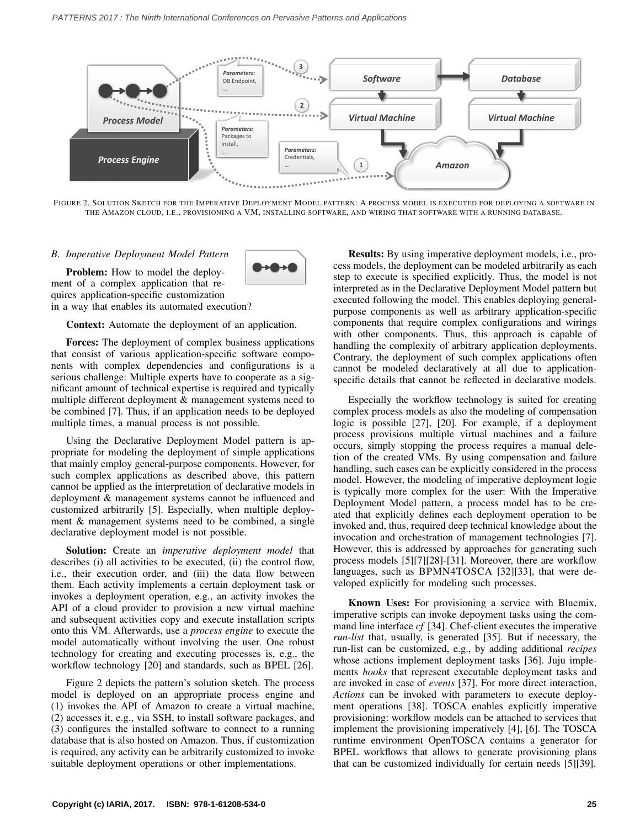<span id="page-3-0"></span>

FIGURE 2. SOLUTION SKETCH FOR THE IMPERATIVE DEPLOYMENT MODEL PATTERN: A PROCESS MODEL IS EXECUTED FOR DEPLOYING A SOFTWARE IN THE AMAZON CLOUD, I.E., PROVISIONING A VM, INSTALLING SOFTWARE, AND WIRING THAT SOFTWARE WITH A RUNNING DATABASE.

### *B. Imperative Deployment Model Pattern*



Problem: How to model the deployment of a complex application that requires application-specific customization in a way that enables its automated execution?

Context: Automate the deployment of an application.

Forces: The deployment of complex business applications that consist of various application-specific software components with complex dependencies and configurations is a serious challenge: Multiple experts have to cooperate as a significant amount of technical expertise is required and typically multiple different deployment & management systems need to be combined [\[7\]](#page-5-6). Thus, if an application needs to be deployed multiple times, a manual process is not possible.

Using the Declarative Deployment Model pattern is appropriate for modeling the deployment of simple applications that mainly employ general-purpose components. However, for such complex applications as described above, this pattern cannot be applied as the interpretation of declarative models in deployment & management systems cannot be influenced and customized arbitrarily [\[5\]](#page-5-4). Especially, when multiple deployment & management systems need to be combined, a single declarative deployment model is not possible.

Solution: Create an *imperative deployment model* that describes (i) all activities to be executed, (ii) the control flow, i.e., their execution order, and (iii) the data flow between them. Each activity implements a certain deployment task or invokes a deployment operation, e.g., an activity invokes the API of a cloud provider to provision a new virtual machine and subsequent activities copy and execute installation scripts onto this VM. Afterwards, use a *process engine* to execute the model automatically without involving the user. One robust technology for creating and executing processes is, e.g., the workflow technology [\[20\]](#page-5-15) and standards, such as BPEL [\[26\]](#page-5-21).

[Figure 2](#page-3-0) depicts the pattern's solution sketch. The process model is deployed on an appropriate process engine and (1) invokes the API of Amazon to create a virtual machine, (2) accesses it, e.g., via SSH, to install software packages, and (3) configures the installed software to connect to a running database that is also hosted on Amazon. Thus, if customization is required, any activity can be arbitrarily customized to invoke suitable deployment operations or other implementations.

Results: By using imperative deployment models, i.e., process models, the deployment can be modeled arbitrarily as each step to execute is specified explicitly. Thus, the model is not interpreted as in the Declarative Deployment Model pattern but executed following the model. This enables deploying generalpurpose components as well as arbitrary application-specific components that require complex configurations and wirings with other components. Thus, this approach is capable of handling the complexity of arbitrary application deployments. Contrary, the deployment of such complex applications often cannot be modeled declaratively at all due to applicationspecific details that cannot be reflected in declarative models.

Especially the workflow technology is suited for creating complex process models as also the modeling of compensation logic is possible [\[27\]](#page-5-22), [\[20\]](#page-5-15). For example, if a deployment process provisions multiple virtual machines and a failure occurs, simply stopping the process requires a manual deletion of the created VMs. By using compensation and failure handling, such cases can be explicitly considered in the process model. However, the modeling of imperative deployment logic is typically more complex for the user: With the Imperative Deployment Model pattern, a process model has to be created that explicitly defines each deployment operation to be invoked and, thus, required deep technical knowledge about the invocation and orchestration of management technologies [\[7\]](#page-5-6). However, this is addressed by approaches for generating such process models [\[5\]](#page-5-4)[\[7\]](#page-5-6)[\[28\]](#page-5-23)-[\[31\]](#page-5-24). Moreover, there are workflow languages, such as BPMN4TOSCA [\[32\]](#page-5-25)[\[33\]](#page-5-26), that were developed explicitly for modeling such processes.

Known Uses: For provisioning a service with Bluemix, imperative scripts can invoke depoyment tasks using the command line interface *cf* [\[34\]](#page-5-27). Chef-client executes the imperative *run-list* that, usually, is generated [\[35\]](#page-5-28). But if necessary, the run-list can be customized, e.g., by adding additional *recipes* whose actions implement deployment tasks [\[36\]](#page-5-29). Juju implements *hooks* that represent executable deployment tasks and are invoked in case of *events* [\[37\]](#page-5-30). For more direct interaction, *Actions* can be invoked with parameters to execute deployment operations [\[38\]](#page-5-31). TOSCA enables explicitly imperative provisioning: workflow models can be attached to services that implement the provisioning imperatively [\[4\]](#page-5-3), [\[6\]](#page-5-5). The TOSCA runtime environment OpenTOSCA contains a generator for BPEL workflows that allows to generate provisioning plans that can be customized individually for certain needs [\[5\]](#page-5-4)[\[39\]](#page-5-32).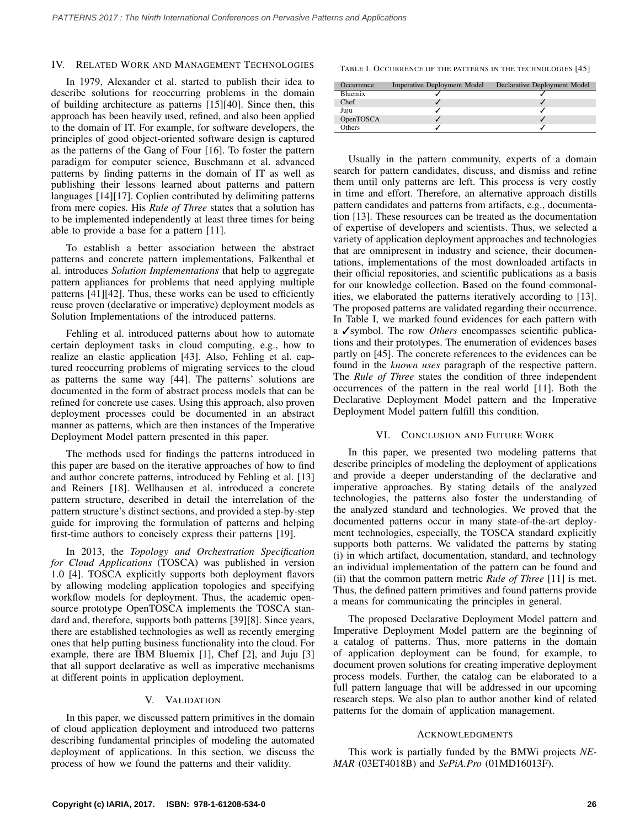#### <span id="page-4-0"></span>IV. RELATED WORK AND MANAGEMENT TECHNOLOGIES

In 1979, Alexander et al. started to publish their idea to describe solutions for reoccurring problems in the domain of building architecture as patterns [\[15\]](#page-5-33)[\[40\]](#page-5-34). Since then, this approach has been heavily used, refined, and also been applied to the domain of IT. For example, for software developers, the principles of good object-oriented software design is captured as the patterns of the Gang of Four [\[16\]](#page-5-35). To foster the pattern paradigm for computer science, Buschmann et al. advanced patterns by finding patterns in the domain of IT as well as publishing their lessons learned about patterns and pattern languages [\[14\]](#page-5-13)[\[17\]](#page-5-36). Coplien contributed by delimiting patterns from mere copies. His *Rule of Three* states that a solution has to be implemented independently at least three times for being able to provide a base for a pattern [\[11\]](#page-5-10).

To establish a better association between the abstract patterns and concrete pattern implementations, Falkenthal et al. introduces *Solution Implementations* that help to aggregate pattern appliances for problems that need applying multiple patterns [\[41\]](#page-5-37)[\[42\]](#page-5-38). Thus, these works can be used to efficiently reuse proven (declarative or imperative) deployment models as Solution Implementations of the introduced patterns.

Fehling et al. introduced patterns about how to automate certain deployment tasks in cloud computing, e.g., how to realize an elastic application [\[43\]](#page-5-39). Also, Fehling et al. captured reoccurring problems of migrating services to the cloud as patterns the same way [\[44\]](#page-5-40). The patterns' solutions are documented in the form of abstract process models that can be refined for concrete use cases. Using this approach, also proven deployment processes could be documented in an abstract manner as patterns, which are then instances of the Imperative Deployment Model pattern presented in this paper.

The methods used for findings the patterns introduced in this paper are based on the iterative approaches of how to find and author concrete patterns, introduced by Fehling et al. [\[13\]](#page-5-12) and Reiners [\[18\]](#page-5-41). Wellhausen et al. introduced a concrete pattern structure, described in detail the interrelation of the pattern structure's distinct sections, and provided a step-by-step guide for improving the formulation of patterns and helping first-time authors to concisely express their patterns [\[19\]](#page-5-14).

In 2013, the *Topology and Orchestration Specification for Cloud Applications* (TOSCA) was published in version 1.0 [\[4\]](#page-5-3). TOSCA explicitly supports both deployment flavors by allowing modeling application topologies and specifying workflow models for deployment. Thus, the academic opensource prototype OpenTOSCA implements the TOSCA standard and, therefore, supports both patterns [\[39\]](#page-5-32)[\[8\]](#page-5-7). Since years, there are established technologies as well as recently emerging ones that help putting business functionality into the cloud. For example, there are IBM Bluemix [\[1\]](#page-5-0), Chef [\[2\]](#page-5-1), and Juju [\[3\]](#page-5-2) that all support declarative as well as imperative mechanisms at different points in application deployment.

## V. VALIDATION

<span id="page-4-1"></span>In this paper, we discussed pattern primitives in the domain of cloud application deployment and introduced two patterns describing fundamental principles of modeling the automated deployment of applications. In this section, we discuss the process of how we found the patterns and their validity.

<span id="page-4-3"></span>TABLE I. OCCURRENCE OF THE PATTERNS IN THE TECHNOLOGIES [\[45\]](#page-5-42)

| Occurrence | <b>Imperative Deployment Model</b> | Declarative Deployment Model |
|------------|------------------------------------|------------------------------|
| Bluemix    |                                    |                              |
| Chef       |                                    |                              |
| Juju       |                                    |                              |
| OpenTOSCA  |                                    |                              |
| Others     |                                    |                              |

Usually in the pattern community, experts of a domain search for pattern candidates, discuss, and dismiss and refine them until only patterns are left. This process is very costly in time and effort. Therefore, an alternative approach distills pattern candidates and patterns from artifacts, e.g., documentation [\[13\]](#page-5-12). These resources can be treated as the documentation of expertise of developers and scientists. Thus, we selected a variety of application deployment approaches and technologies that are omnipresent in industry and science, their documentations, implementations of the most downloaded artifacts in their official repositories, and scientific publications as a basis for our knowledge collection. Based on the found commonalities, we elaborated the patterns iteratively according to [\[13\]](#page-5-12). The proposed patterns are validated regarding their occurrence. In [Table I,](#page-4-3) we marked found evidences for each pattern with a ✓symbol. The row *Others* encompasses scientific publications and their prototypes. The enumeration of evidences bases partly on [\[45\]](#page-5-42). The concrete references to the evidences can be found in the *known uses* paragraph of the respective pattern. The *Rule of Three* states the condition of three independent occurrences of the pattern in the real world [\[11\]](#page-5-10). Both the Declarative Deployment Model pattern and the Imperative Deployment Model pattern fulfill this condition.

## VI. CONCLUSION AND FUTURE WORK

<span id="page-4-2"></span>In this paper, we presented two modeling patterns that describe principles of modeling the deployment of applications and provide a deeper understanding of the declarative and imperative approaches. By stating details of the analyzed technologies, the patterns also foster the understanding of the analyzed standard and technologies. We proved that the documented patterns occur in many state-of-the-art deployment technologies, especially, the TOSCA standard explicitly supports both patterns. We validated the patterns by stating (i) in which artifact, documentation, standard, and technology an individual implementation of the pattern can be found and (ii) that the common pattern metric *Rule of Three* [\[11\]](#page-5-10) is met. Thus, the defined pattern primitives and found patterns provide a means for communicating the principles in general.

The proposed Declarative Deployment Model pattern and Imperative Deployment Model pattern are the beginning of a catalog of patterns. Thus, more patterns in the domain of application deployment can be found, for example, to document proven solutions for creating imperative deployment process models. Further, the catalog can be elaborated to a full pattern language that will be addressed in our upcoming research steps. We also plan to author another kind of related patterns for the domain of application management.

#### ACKNOWLEDGMENTS

This work is partially funded by the BMWi projects *NE-MAR* (03ET4018B) and *SePiA.Pro* (01MD16013F).